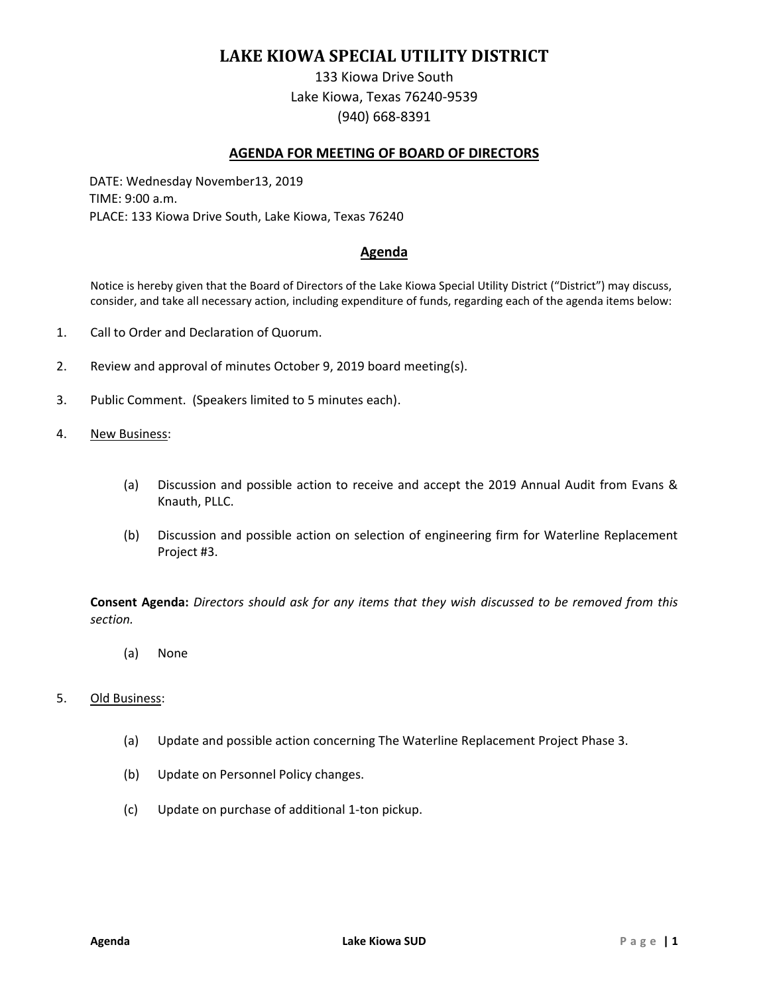# **LAKE KIOWA SPECIAL UTILITY DISTRICT**

133 Kiowa Drive South Lake Kiowa, Texas 76240-9539 (940) 668-8391

### **AGENDA FOR MEETING OF BOARD OF DIRECTORS**

DATE: Wednesday November13, 2019 TIME: 9:00 a.m. PLACE: 133 Kiowa Drive South, Lake Kiowa, Texas 76240

## **Agenda**

Notice is hereby given that the Board of Directors of the Lake Kiowa Special Utility District ("District") may discuss, consider, and take all necessary action, including expenditure of funds, regarding each of the agenda items below:

- 1. Call to Order and Declaration of Quorum.
- 2. Review and approval of minutes October 9, 2019 board meeting(s).
- 3. Public Comment. (Speakers limited to 5 minutes each).
- 4. New Business:
	- (a) Discussion and possible action to receive and accept the 2019 Annual Audit from Evans & Knauth, PLLC.
	- (b) Discussion and possible action on selection of engineering firm for Waterline Replacement Project #3.

**Consent Agenda:** *Directors should ask for any items that they wish discussed to be removed from this section.*

(a) None

#### 5. Old Business:

- (a) Update and possible action concerning The Waterline Replacement Project Phase 3.
- (b) Update on Personnel Policy changes.
- (c) Update on purchase of additional 1-ton pickup.